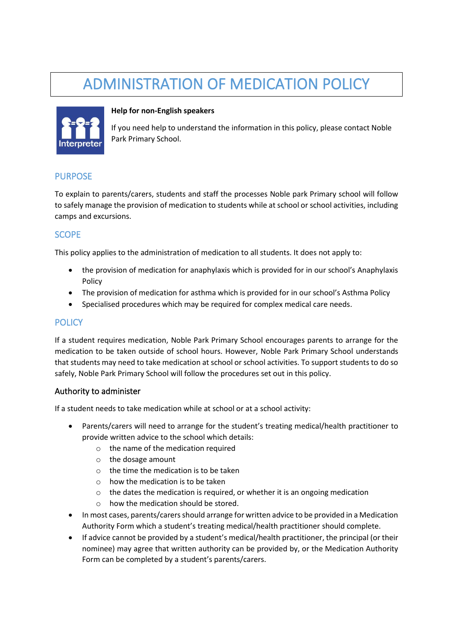# ADMINISTRATION OF MEDICATION POLICY



#### **Help for non-English speakers**

If you need help to understand the information in this policy, please contact Noble Park Primary School.

## PURPOSE

To explain to parents/carers, students and staff the processes Noble park Primary school will follow to safely manage the provision of medication to students while at school or school activities, including camps and excursions.

### **SCOPE**

This policy applies to the administration of medication to all students. It does not apply to:

- the provision of medication for anaphylaxis which is provided for in our school's Anaphylaxis Policy
- The provision of medication for asthma which is provided for in our school's Asthma Policy
- Specialised procedures which may be required for complex medical care needs.

## **POLICY**

If a student requires medication, Noble Park Primary School encourages parents to arrange for the medication to be taken outside of school hours. However, Noble Park Primary School understands that students may need to take medication at school or school activities. To support students to do so safely, Noble Park Primary School will follow the procedures set out in this policy.

#### Authority to administer

If a student needs to take medication while at school or at a school activity:

- Parents/carers will need to arrange for the student's treating medical/health practitioner to provide written advice to the school which details:
	- $\circ$  the name of the medication required
	- o the dosage amount
	- o the time the medication is to be taken
	- $\circ$  how the medication is to be taken
	- $\circ$  the dates the medication is required, or whether it is an ongoing medication
	- how the medication should be stored.
- In most cases, parents/carers should arrange for written advice to be provided in a Medication Authority Form which a student's treating medical/health practitioner should complete.
- If advice cannot be provided by a student's medical/health practitioner, the principal (or their nominee) may agree that written authority can be provided by, or the Medication Authority Form can be completed by a student's parents/carers.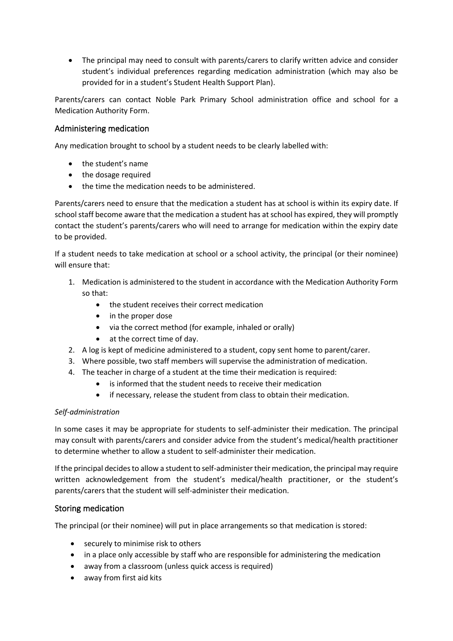• The principal may need to consult with parents/carers to clarify written advice and consider student's individual preferences regarding medication administration (which may also be provided for in a student's Student Health Support Plan).

Parents/carers can contact Noble Park Primary School administration office and school for a Medication Authority Form.

#### Administering medication

Any medication brought to school by a student needs to be clearly labelled with:

- the student's name
- the dosage required
- the time the medication needs to be administered.

Parents/carers need to ensure that the medication a student has at school is within its expiry date. If school staff become aware that the medication a student has at school has expired, they will promptly contact the student's parents/carers who will need to arrange for medication within the expiry date to be provided.

If a student needs to take medication at school or a school activity, the principal (or their nominee) will ensure that:

- 1. Medication is administered to the student in accordance with the Medication Authority Form so that:
	- the student receives their correct medication
	- in the proper dose
	- via the correct method (for example, inhaled or orally)
	- at the correct time of day.
- 2. A log is kept of medicine administered to a student, copy sent home to parent/carer.
- 3. Where possible, two staff members will supervise the administration of medication.
- 4. The teacher in charge of a student at the time their medication is required:
	- is informed that the student needs to receive their medication
	- if necessary, release the student from class to obtain their medication.

#### *Self-administration*

In some cases it may be appropriate for students to self-administer their medication. The principal may consult with parents/carers and consider advice from the student's medical/health practitioner to determine whether to allow a student to self-administer their medication.

If the principal decides to allow a student to self-administer their medication, the principal may require written acknowledgement from the student's medical/health practitioner, or the student's parents/carers that the student will self-administer their medication.

## Storing medication

The principal (or their nominee) will put in place arrangements so that medication is stored:

- securely to minimise risk to others
- in a place only accessible by staff who are responsible for administering the medication
- away from a classroom (unless quick access is required)
- away from first aid kits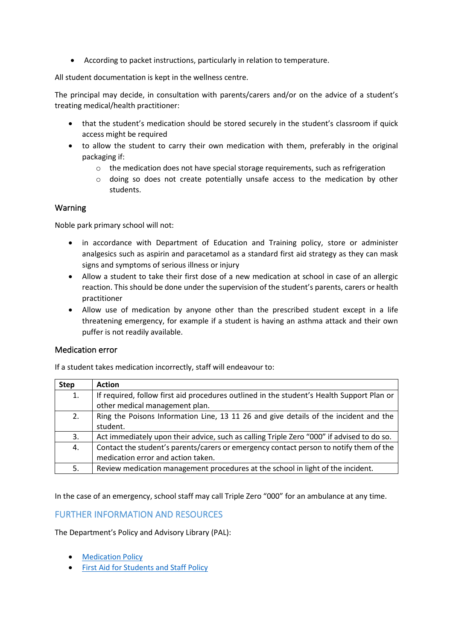• According to packet instructions, particularly in relation to temperature.

All student documentation is kept in the wellness centre.

The principal may decide, in consultation with parents/carers and/or on the advice of a student's treating medical/health practitioner:

- that the student's medication should be stored securely in the student's classroom if quick access might be required
- to allow the student to carry their own medication with them, preferably in the original packaging if:
	- $\circ$  the medication does not have special storage requirements, such as refrigeration
	- o doing so does not create potentially unsafe access to the medication by other students.

#### Warning

Noble park primary school will not:

- in accordance with Department of Education and Training policy, store or administer analgesics such as aspirin and paracetamol as a standard first aid strategy as they can mask signs and symptoms of serious illness or injury
- Allow a student to take their first dose of a new medication at school in case of an allergic reaction. This should be done under the supervision of the student's parents, carers or health practitioner
- Allow use of medication by anyone other than the prescribed student except in a life threatening emergency, for example if a student is having an asthma attack and their own puffer is not readily available.

#### Medication error

If a student takes medication incorrectly, staff will endeavour to:

| <b>Step</b> | <b>Action</b>                                                                             |
|-------------|-------------------------------------------------------------------------------------------|
| 1.          | If required, follow first aid procedures outlined in the student's Health Support Plan or |
|             | other medical management plan.                                                            |
| 2.          | Ring the Poisons Information Line, 13 11 26 and give details of the incident and the      |
|             | student.                                                                                  |
| 3.          | Act immediately upon their advice, such as calling Triple Zero "000" if advised to do so. |
| 4.          | Contact the student's parents/carers or emergency contact person to notify them of the    |
|             | medication error and action taken.                                                        |
| 5.          | Review medication management procedures at the school in light of the incident.           |

In the case of an emergency, school staff may call Triple Zero "000" for an ambulance at any time.

## FURTHER INFORMATION AND RESOURCES

The Department's Policy and Advisory Library (PAL):

- [Medication Policy](https://www2.education.vic.gov.au/pal/medication/policy)
- [First Aid for Students and Staff Policy](https://www2.education.vic.gov.au/pal/first-aid-students-and-staff/policy)